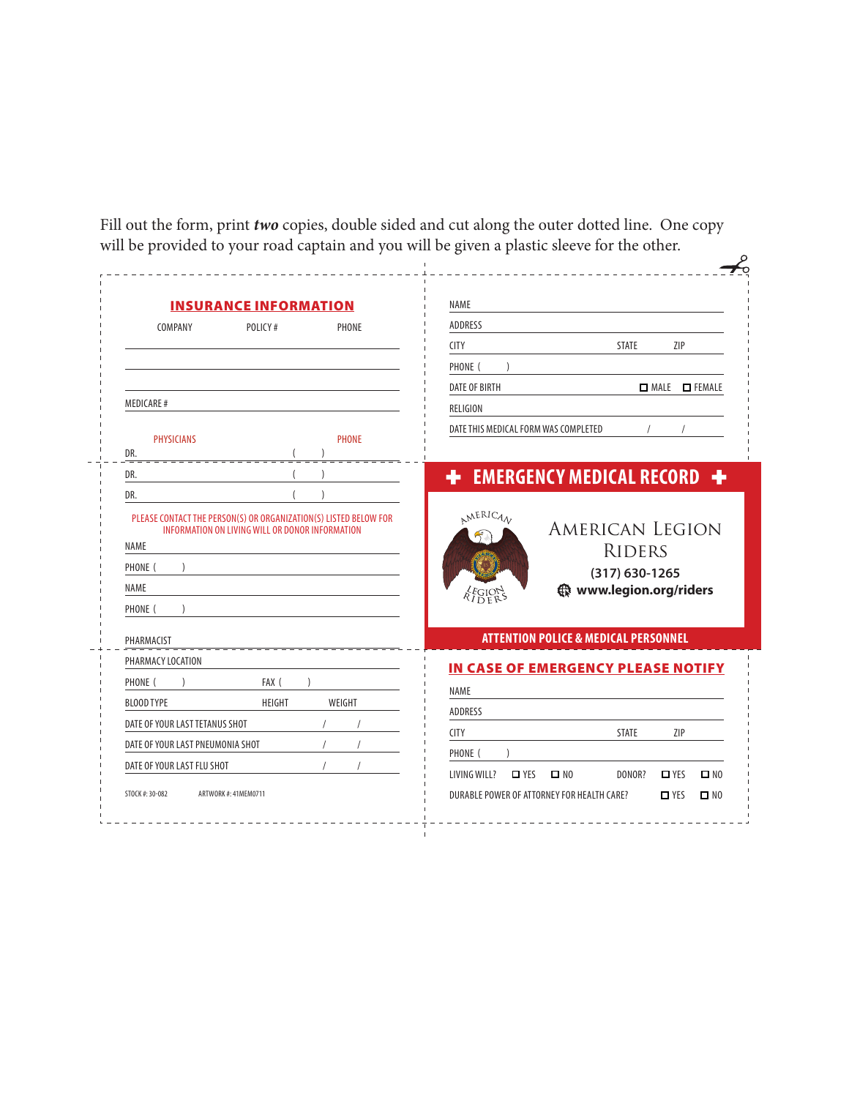Fill out the form, print *two* copies, double sided and cut along the outer dotted line. One copy will be provided to your road captain and you will be given a plastic sleeve for the other.

|                                                                                 | <b>INSURANCE INFORMATION</b>                    |        |                                        |                                                                     |  |
|---------------------------------------------------------------------------------|-------------------------------------------------|--------|----------------------------------------|---------------------------------------------------------------------|--|
| COMPANY                                                                         | POLICY#                                         | PHONE  | <b>ADDRESS</b>                         |                                                                     |  |
|                                                                                 |                                                 |        | <b>CITY</b>                            | <b>STATE</b><br>ZIP                                                 |  |
|                                                                                 |                                                 |        | PHONE (                                |                                                                     |  |
|                                                                                 |                                                 |        | <b>DATE OF BIRTH</b>                   | MALE <b>D</b> FEMALE                                                |  |
| MEDICARE#                                                                       |                                                 |        | RELIGION                               |                                                                     |  |
| <b>PHYSICIANS</b>                                                               | <b>PHONE</b>                                    |        | DATE THIS MEDICAL FORM WAS COMPLETED   |                                                                     |  |
| DR.                                                                             |                                                 |        |                                        |                                                                     |  |
| DR.                                                                             |                                                 |        |                                        | <b>+</b> EMERGENCY MEDICAL RECORD +                                 |  |
| DR.                                                                             |                                                 |        |                                        |                                                                     |  |
| PLEASE CONTACT THE PERSON(S) OR ORGANIZATION(S) LISTED BELOW FOR<br><b>NAME</b> | INFORMATION ON LIVING WILL OR DONOR INFORMATION |        |                                        | <b>RIDERS</b>                                                       |  |
| PHONE (<br><b>NAME</b><br>PHONE (                                               |                                                 |        | $\lambda_{I\, \rm DE}^{EGI\, \rm OES}$ | <b>AMERICAN LEGION</b><br>$(317)$ 630-1265<br>www.legion.org/riders |  |
| PHARMACIST                                                                      |                                                 |        |                                        | <b>ATTENTION POLICE &amp; MEDICAL PERSONNEL</b>                     |  |
| PHARMACY LOCATION                                                               |                                                 |        |                                        |                                                                     |  |
| PHONE (                                                                         | FAX (                                           |        |                                        | IN CASE OF EMERGENCY PLEASE NOTIFY                                  |  |
| <b>BLOOD TYPE</b>                                                               | <b>HEIGHT</b>                                   | WEIGHT | <b>NAME</b>                            |                                                                     |  |
| DATE OF YOUR LAST TETANUS SHOT                                                  |                                                 |        | <b>ADDRESS</b>                         |                                                                     |  |
| DATE OF YOUR LAST PNEUMONIA SHOT                                                |                                                 |        | <b>CITY</b><br>PHONE (                 | <b>STATE</b><br>ZIP                                                 |  |
| DATE OF YOUR LAST FLU SHOT                                                      |                                                 |        | $\Box$ YES<br>LIVING WILL?             | $\square$ NO<br>DONOR?<br>$\Box$ YES<br>$\square$ NO                |  |